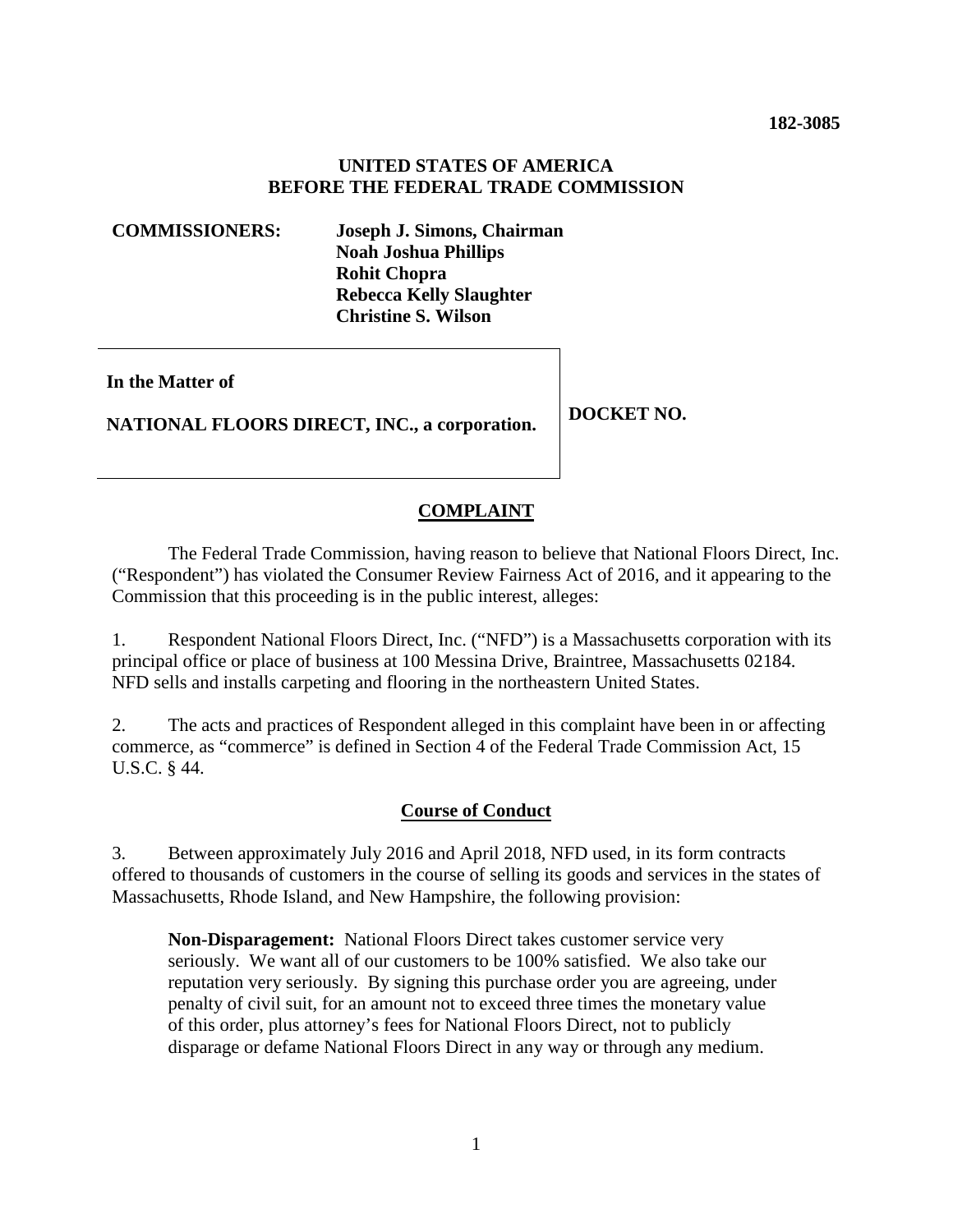### **UNITED STATES OF AMERICA BEFORE THE FEDERAL TRADE COMMISSION**

**COMMISSIONERS: Joseph J. Simons, Chairman Noah Joshua Phillips Rohit Chopra Rebecca Kelly Slaughter Christine S. Wilson** 

**In the Matter of** 

**NATIONAL FLOORS DIRECT, INC., a corporation. DOCKET NO.** 

# **COMPLAINT**

 The Federal Trade Commission, having reason to believe that National Floors Direct, Inc. ("Respondent") has violated the Consumer Review Fairness Act of 2016, and it appearing to the Commission that this proceeding is in the public interest, alleges:

1. Respondent National Floors Direct, Inc. ("NFD") is a Massachusetts corporation with its principal office or place of business at 100 Messina Drive, Braintree, Massachusetts 02184. NFD sells and installs carpeting and flooring in the northeastern United States.

2. The acts and practices of Respondent alleged in this complaint have been in or affecting commerce, as "commerce" is defined in Section 4 of the Federal Trade Commission Act, 15 U.S.C. § 44.

## **Course of Conduct**

3. Between approximately July 2016 and April 2018, NFD used, in its form contracts offered to thousands of customers in the course of selling its goods and services in the states of Massachusetts, Rhode Island, and New Hampshire, the following provision:

**Non-Disparagement:** National Floors Direct takes customer service very seriously. We want all of our customers to be 100% satisfied. We also take our reputation very seriously. By signing this purchase order you are agreeing, under penalty of civil suit, for an amount not to exceed three times the monetary value of this order, plus attorney's fees for National Floors Direct, not to publicly disparage or defame National Floors Direct in any way or through any medium.